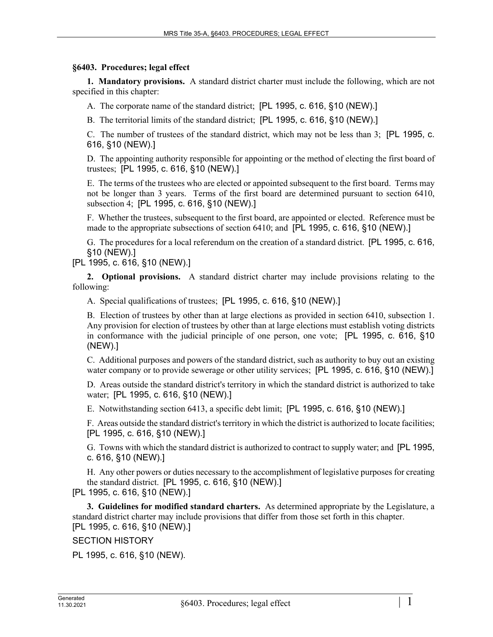## **§6403. Procedures; legal effect**

**1. Mandatory provisions.** A standard district charter must include the following, which are not specified in this chapter:

A. The corporate name of the standard district; [PL 1995, c. 616, §10 (NEW).]

B. The territorial limits of the standard district; [PL 1995, c. 616, §10 (NEW).]

C. The number of trustees of the standard district, which may not be less than 3; [PL 1995, c. 616, §10 (NEW).]

D. The appointing authority responsible for appointing or the method of electing the first board of trustees; [PL 1995, c. 616, §10 (NEW).]

E. The terms of the trustees who are elected or appointed subsequent to the first board. Terms may not be longer than 3 years. Terms of the first board are determined pursuant to section 6410, subsection 4; [PL 1995, c. 616, §10 (NEW).]

F. Whether the trustees, subsequent to the first board, are appointed or elected. Reference must be made to the appropriate subsections of section 6410; and [PL 1995, c. 616, §10 (NEW).]

G. The procedures for a local referendum on the creation of a standard district. [PL 1995, c. 616, §10 (NEW).]

[PL 1995, c. 616, §10 (NEW).]

**2. Optional provisions.** A standard district charter may include provisions relating to the following:

A. Special qualifications of trustees; [PL 1995, c. 616, §10 (NEW).]

B. Election of trustees by other than at large elections as provided in section 6410, subsection 1. Any provision for election of trustees by other than at large elections must establish voting districts in conformance with the judicial principle of one person, one vote; [PL 1995, c. 616, §10 (NEW).]

C. Additional purposes and powers of the standard district, such as authority to buy out an existing water company or to provide sewerage or other utility services; [PL 1995, c. 616, §10 (NEW).]

D. Areas outside the standard district's territory in which the standard district is authorized to take water; [PL 1995, c. 616, §10 (NEW).]

E. Notwithstanding section 6413, a specific debt limit; [PL 1995, c. 616, §10 (NEW).]

F. Areas outside the standard district's territory in which the district is authorized to locate facilities; [PL 1995, c. 616, §10 (NEW).]

G. Towns with which the standard district is authorized to contract to supply water; and [PL 1995, c. 616, §10 (NEW).]

H. Any other powers or duties necessary to the accomplishment of legislative purposes for creating the standard district. [PL 1995, c. 616, §10 (NEW).]

[PL 1995, c. 616, §10 (NEW).]

**3. Guidelines for modified standard charters.** As determined appropriate by the Legislature, a standard district charter may include provisions that differ from those set forth in this chapter. [PL 1995, c. 616, §10 (NEW).]

SECTION HISTORY

PL 1995, c. 616, §10 (NEW).